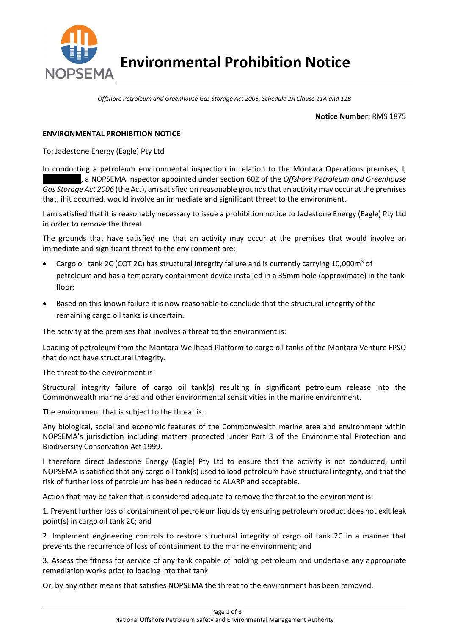

Offshore Petroleum and Greenhouse Gas Storage Act 2006, Schedule 2A Clause 11A and 11B

## Notice Number: RMS 1875

## ENVIRONMENTAL PROHIBITION NOTICE

To: Jadestone Energy (Eagle) Pty Ltd

In conducting a petroleum environmental inspection in relation to the Montara Operations premises, I, , a NOPSEMA inspector appointed under section 602 of the Offshore Petroleum and Greenhouse Gas Storage Act 2006 (the Act), am satisfied on reasonable grounds that an activity may occur at the premises that, if it occurred, would involve an immediate and significant threat to the environment.

I am satisfied that it is reasonably necessary to issue a prohibition notice to Jadestone Energy (Eagle) Pty Ltd in order to remove the threat.

The grounds that have satisfied me that an activity may occur at the premises that would involve an immediate and significant threat to the environment are:

- Cargo oil tank 2C (COT 2C) has structural integrity failure and is currently carrying 10,000m<sup>3</sup> of petroleum and has a temporary containment device installed in a 35mm hole (approximate) in the tank floor;
- Based on this known failure it is now reasonable to conclude that the structural integrity of the remaining cargo oil tanks is uncertain.

The activity at the premises that involves a threat to the environment is:

Loading of petroleum from the Montara Wellhead Platform to cargo oil tanks of the Montara Venture FPSO that do not have structural integrity.

The threat to the environment is:

Structural integrity failure of cargo oil tank(s) resulting in significant petroleum release into the Commonwealth marine area and other environmental sensitivities in the marine environment.

The environment that is subject to the threat is:

Any biological, social and economic features of the Commonwealth marine area and environment within NOPSEMA's jurisdiction including matters protected under Part 3 of the Environmental Protection and Biodiversity Conservation Act 1999.

I therefore direct Jadestone Energy (Eagle) Pty Ltd to ensure that the activity is not conducted, until NOPSEMA is satisfied that any cargo oil tank(s) used to load petroleum have structural integrity, and that the risk of further loss of petroleum has been reduced to ALARP and acceptable.

Action that may be taken that is considered adequate to remove the threat to the environment is:

1. Prevent further loss of containment of petroleum liquids by ensuring petroleum product does not exit leak point(s) in cargo oil tank 2C; and

2. Implement engineering controls to restore structural integrity of cargo oil tank 2C in a manner that prevents the recurrence of loss of containment to the marine environment; and

3. Assess the fitness for service of any tank capable of holding petroleum and undertake any appropriate remediation works prior to loading into that tank.

Or, by any other means that satisfies NOPSEMA the threat to the environment has been removed.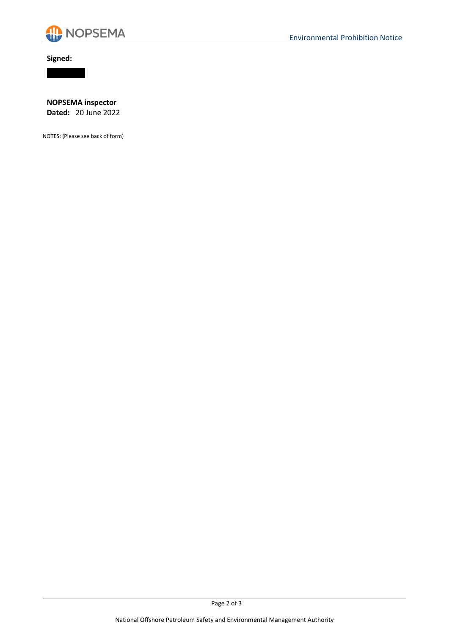

Signed:



NOPSEMA inspector Dated: 20 June 2022

NOTES: (Please see back of form)